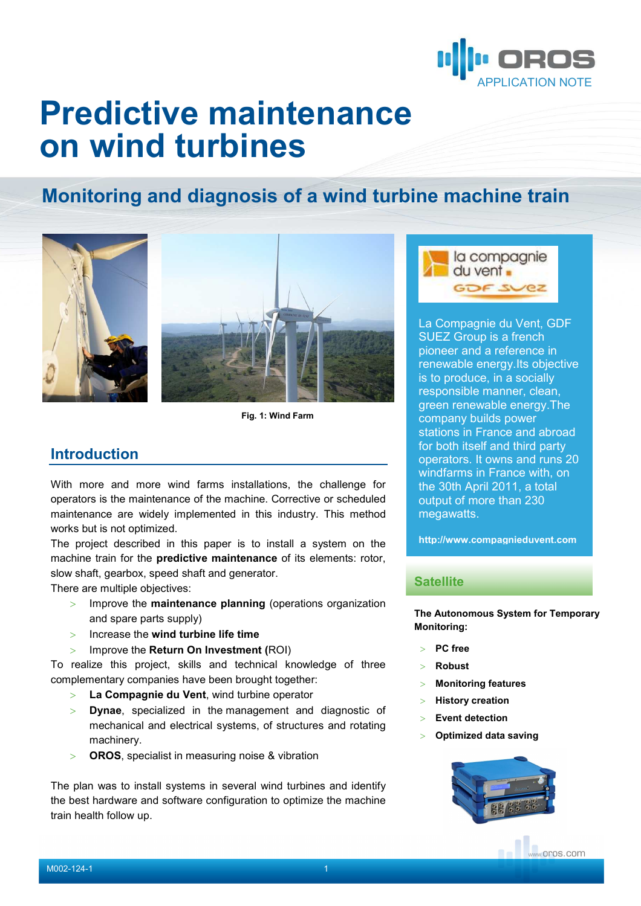

# **Predictive maintenance on wind turbines**

# **Monitoring and diagnosis of a wind turbine machine train**



**Fig. 1: Wind Farm** 

## **Introduction**

With more and more wind farms installations, the challenge for operators is the maintenance of the machine. Corrective or scheduled maintenance are widely implemented in this industry. This method works but is not optimized.

The project described in this paper is to install a system on the machine train for the **predictive maintenance** of its elements: rotor, slow shaft, gearbox, speed shaft and generator.

There are multiple objectives:

- > Improve the **maintenance planning** (operations organization and spare parts supply)
- > Increase the **wind turbine life time**
- > Improve the **Return On Investment (**ROI)

To realize this project, skills and technical knowledge of three complementary companies have been brought together:

- > **La Compagnie du Vent**, wind turbine operator
- > **Dynae**, specialized in the management and diagnostic of mechanical and electrical systems, of structures and rotating machinery.
- > **OROS**, specialist in measuring noise & vibration

The plan was to install systems in several wind turbines and identify the best hardware and software configuration to optimize the machine train health follow up.



La Compagnie du Vent, GDF SUEZ Group is a french pioneer and a reference in renewable energy.Its objective is to produce, in a socially responsible manner, clean, green renewable energy.The company builds power stations in France and abroad for both itself and third party operators. It owns and runs 20 windfarms in France with, on the 30th April 2011, a total output of more than 230 megawatts.

**http://www.compagnieduvent.com**

#### **Satellite**

**The Autonomous System for Temporary Monitoring:** 

- > **PC free**
- > **Robust**
- > **Monitoring features**
- > **History creation**
- > **Event detection**
- > **Optimized data saving**

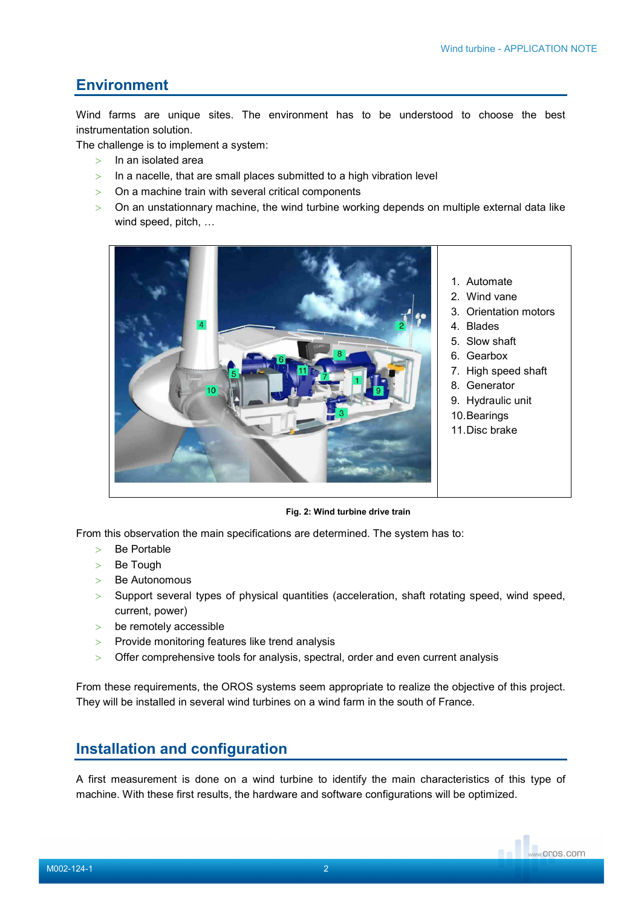# **Environment**

Wind farms are unique sites. The environment has to be understood to choose the best instrumentation solution.

The challenge is to implement a system:

- $>$  In an isolated area
- $>$  In a nacelle, that are small places submitted to a high vibration level
- > On a machine train with several critical components
- $>$  On an unstationnary machine, the wind turbine working depends on multiple external data like wind speed, pitch, …



**Fig. 2: Wind turbine drive train** 

From this observation the main specifications are determined. The system has to:

- > Be Portable
- > Be Tough
- > Be Autonomous
- > Support several types of physical quantities (acceleration, shaft rotating speed, wind speed, current, power)
- > be remotely accessible
- > Provide monitoring features like trend analysis
- > Offer comprehensive tools for analysis, spectral, order and even current analysis

From these requirements, the OROS systems seem appropriate to realize the objective of this project. They will be installed in several wind turbines on a wind farm in the south of France.

# **Installation and configuration**

A first measurement is done on a wind turbine to identify the main characteristics of this type of machine. With these first results, the hardware and software configurations will be optimized.

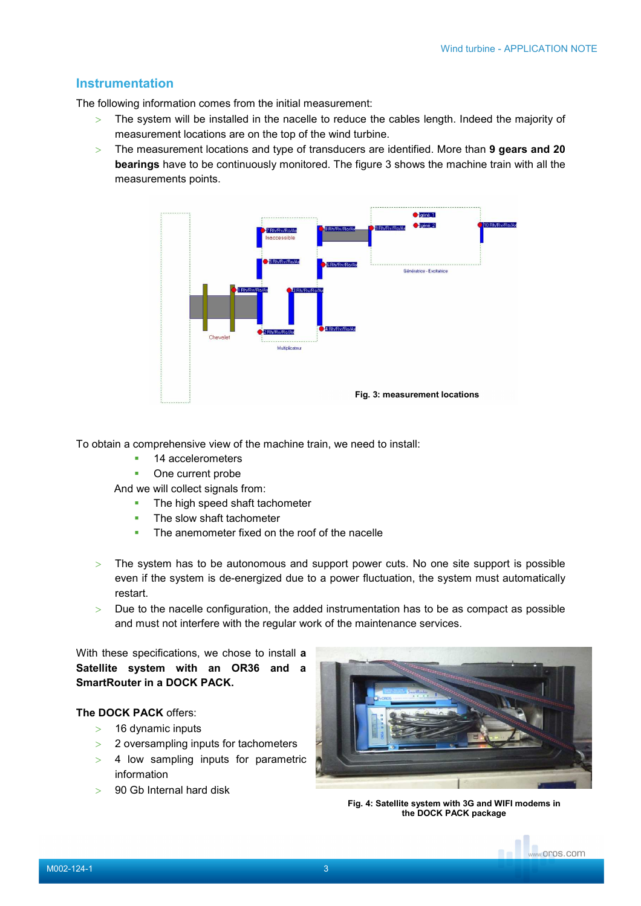### **Instrumentation**

The following information comes from the initial measurement:

- > The system will be installed in the nacelle to reduce the cables length. Indeed the majority of measurement locations are on the top of the wind turbine.
- > The measurement locations and type of transducers are identified. More than **9 gears and 20 bearings** have to be continuously monitored. The figure 3 shows the machine train with all the measurements points.



To obtain a comprehensive view of the machine train, we need to install:

- 14 accelerometers
- One current probe

And we will collect signals from:

- **The high speed shaft tachometer**
- **The slow shaft tachometer**
- The anemometer fixed on the roof of the nacelle
- > The system has to be autonomous and support power cuts. No one site support is possible even if the system is de-energized due to a power fluctuation, the system must automatically restart.
- $>$  Due to the nacelle configuration, the added instrumentation has to be as compact as possible and must not interfere with the regular work of the maintenance services.

With these specifications, we chose to install **a Satellite system with an OR36 and a SmartRouter in a DOCK PACK.** 

#### **The DOCK PACK** offers:

- $> 16$  dynamic inputs
- > 2 oversampling inputs for tachometers
- > 4 low sampling inputs for parametric information
- > 90 Gb Internal hard disk



**Fig. 4: Satellite system with 3G and WIFI modems in the DOCK PACK package**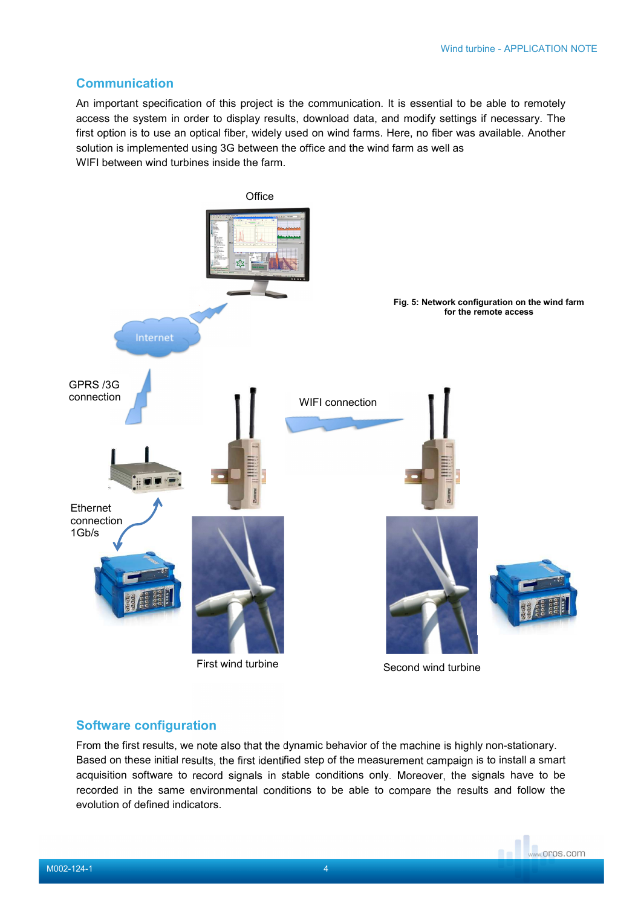## **Communication**

An important specification of this project is the communication. It is essential to be able to remotely access the system in order to display results, download data, and modify settings if necessary. The first option is to use an optical fiber, widely used on wind farms. Here, no fiber was available. Another solution is implemented using 3G between the office and the wind farm as well as WIFI between wind turbines inside the farm.



#### **Software configuration**

From the first results, we note also that the dynamic behavior of the machine is highly non-stationary. Based on these initial results, the first identified step of the measurement campaign is to install a smart acquisition software to record signals in stable conditions only. Moreover, the signals have to be recorded in the same environmental conditions to be able to compare the results and follow the evolution of defined indicators.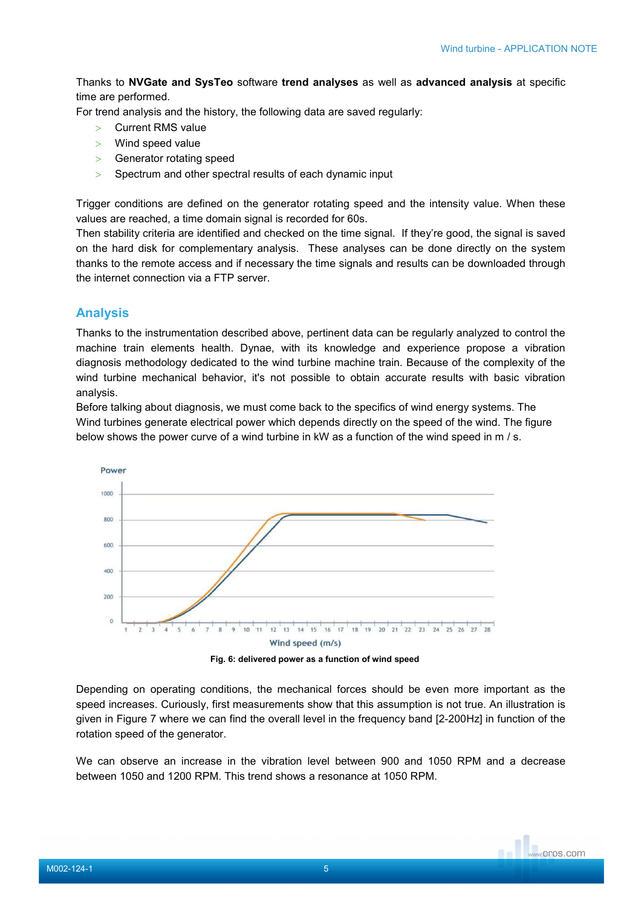Thanks to **NVGate and SysTeo** software **trend analyses** as well as **advanced analysis** at specific time are performed.

For trend analysis and the history, the following data are saved regularly:

- > Current RMS value
- > Wind speed value
- > Generator rotating speed
- > Spectrum and other spectral results of each dynamic input

Trigger conditions are defined on the generator rotating speed and the intensity value. When these values are reached, a time domain signal is recorded for 60s.

Then stability criteria are identified and checked on the time signal. If they're good, the signal is saved on the hard disk for complementary analysis. These analyses can be done directly on the system thanks to the remote access and if necessary the time signals and results can be downloaded through the internet connection via a FTP server.

# **Analysis**

Thanks to the instrumentation described above, pertinent data can be regularly analyzed to control the machine train elements health. Dynae, with its knowledge and experience propose a vibration diagnosis methodology dedicated to the wind turbine machine train. Because of the complexity of the wind turbine mechanical behavior, it's not possible to obtain accurate results with basic vibration analysis.

Before talking about diagnosis, we must come back to the specifics of wind energy systems. The Wind turbines generate electrical power which depends directly on the speed of the wind. The figure below shows the power curve of a wind turbine in kW as a function of the wind speed in m / s.



**Fig. 6: delivered power as a function of wind speed**

Depending on operating conditions, the mechanical forces should be even more important as the speed increases. Curiously, first measurements show that this assumption is not true. An illustration is given in Figure 7 where we can find the overall level in the frequency band [2-200Hz] in function of the rotation speed of the generator.

We can observe an increase in the vibration level between 900 and 1050 RPM and a decrease between 1050 and 1200 RPM. This trend shows a resonance at 1050 RPM.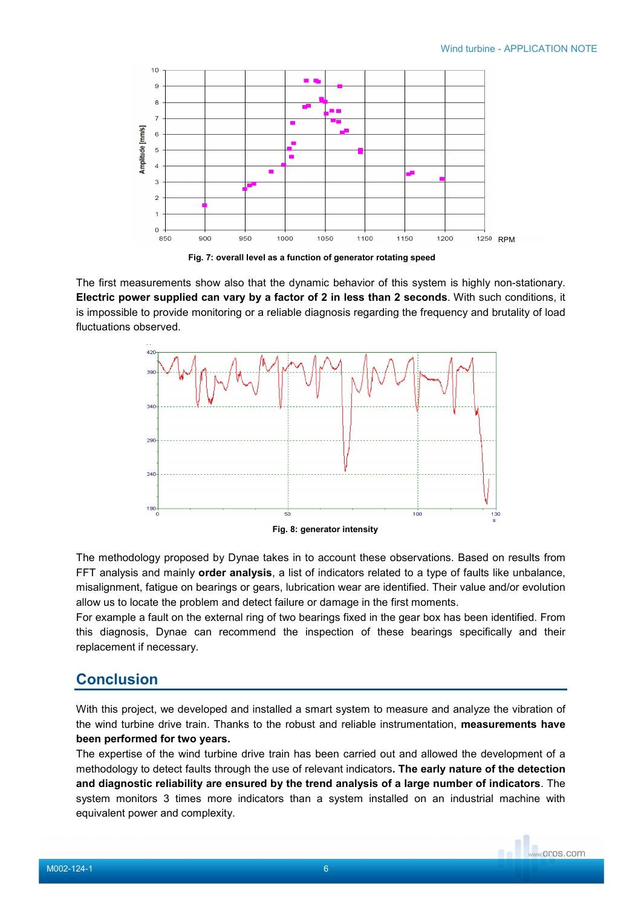

**Fig. 7: overall level as a function of generator rotating speed**

The first measurements show also that the dynamic behavior of this system is highly non-stationary. **Electric power supplied can vary by a factor of 2 in less than 2 seconds**. With such conditions, it is impossible to provide monitoring or a reliable diagnosis regarding the frequency and brutality of load fluctuations observed.



The methodology proposed by Dynae takes in to account these observations. Based on results from FFT analysis and mainly **order analysis**, a list of indicators related to a type of faults like unbalance, misalignment, fatigue on bearings or gears, lubrication wear are identified. Their value and/or evolution allow us to locate the problem and detect failure or damage in the first moments.

For example a fault on the external ring of two bearings fixed in the gear box has been identified. From this diagnosis, Dynae can recommend the inspection of these bearings specifically and their replacement if necessary.

# **Conclusion**

With this project, we developed and installed a smart system to measure and analyze the vibration of the wind turbine drive train. Thanks to the robust and reliable instrumentation, **measurements have been performed for two years.** 

The expertise of the wind turbine drive train has been carried out and allowed the development of a methodology to detect faults through the use of relevant indicators**. The early nature of the detection and diagnostic reliability are ensured by the trend analysis of a large number of indicators**. The system monitors 3 times more indicators than a system installed on an industrial machine with equivalent power and complexity.